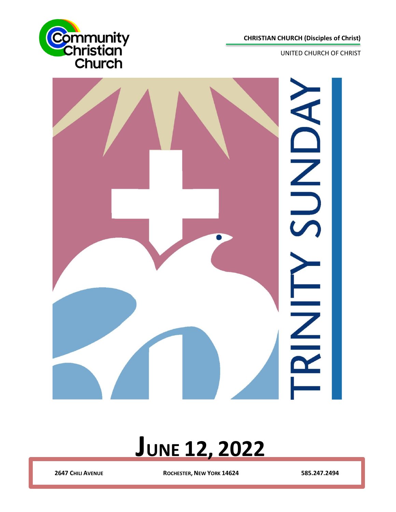**2647 CHILI AVENUE ROCHESTER, NEW YORK 14624 585.247.2494**

**JUNE 12, 2022**





UNITED CHURCH OF CHRIST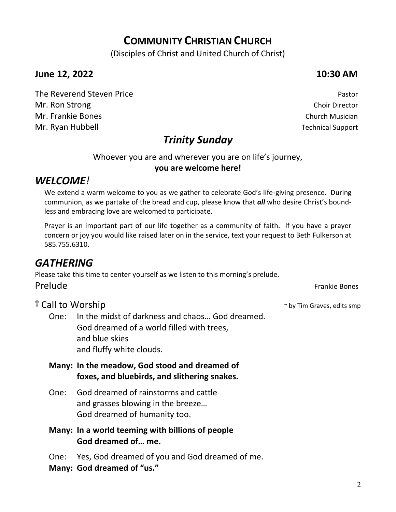## **COMMUNITY CHRISTIAN CHURCH**

(Disciples of Christ and United Church of Christ)

#### **June 12, 2022 10:30 AM**

The Reverend Steven Price **Pastor Pastor** Pastor **Pastor Mr. Ron Strong Choir Director** Choir Director Choir Director Mr. Frankie Bones Church Musician Church Musician Church Musician Church Musician Mr. Ryan Hubbell **Mr. Ryan Hubbell** Support **Technical Support** 

# *Trinity Sunday*

Whoever you are and wherever you are on life's journey, **you are welcome here!**

## *WELCOME!*

We extend a warm welcome to you as we gather to celebrate God's life-giving presence. During communion, as we partake of the bread and cup, please know that *all* who desire Christ's boundless and embracing love are welcomed to participate.

Prayer is an important part of our life together as a community of faith. If you have a prayer concern or joy you would like raised later on in the service, text your request to Beth Fulkerson at 585.755.6310.

## *GATHERING*

Please take this time to center yourself as we listen to this morning's prelude.

Prelude Frankie Bones

**† Call to Worship**  $\sim$  **by Tim Graves, edits smp** 

- One: In the midst of darkness and chaos… God dreamed. God dreamed of a world filled with trees, and blue skies and fluffy white clouds.
- **Many: In the meadow, God stood and dreamed of foxes, and bluebirds, and slithering snakes.**
- One: God dreamed of rainstorms and cattle and grasses blowing in the breeze… God dreamed of humanity too.
- **Many: In a world teeming with billions of people God dreamed of… me.**

One: Yes, God dreamed of you and God dreamed of me.

**Many: God dreamed of "us."**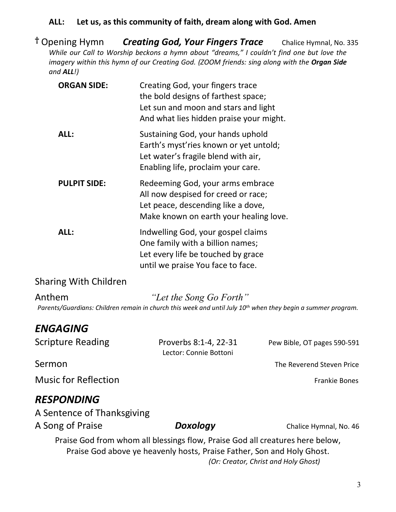**†** Opening Hymn *Creating God, Your Fingers Trace* Chalice Hymnal, No. 335 *While our Call to Worship beckons a hymn about "dreams," I couldn't find one but love the imagery within this hymn of our Creating God. (ZOOM friends: sing along with the Organ Side and ALL!)*

| <b>ORGAN SIDE:</b>  | Creating God, your fingers trace<br>the bold designs of farthest space;<br>Let sun and moon and stars and light<br>And what lies hidden praise your might. |
|---------------------|------------------------------------------------------------------------------------------------------------------------------------------------------------|
| ALL:                | Sustaining God, your hands uphold<br>Earth's myst'ries known or yet untold;<br>Let water's fragile blend with air,<br>Enabling life, proclaim your care.   |
| <b>PULPIT SIDE:</b> | Redeeming God, your arms embrace<br>All now despised for creed or race;<br>Let peace, descending like a dove,<br>Make known on earth your healing love.    |
| ALL:                | Indwelling God, your gospel claims<br>One family with a billion names;<br>Let every life be touched by grace<br>until we praise You face to face.          |

#### Sharing With Children

Anthem *"Let the Song Go Forth" Parents/Guardians: Children remain in church this week and until July 10th when they begin a summer program.* 

## *ENGAGING*

| <b>Scripture Reading</b>    | Proverbs 8:1-4, 22-31<br>Lector: Connie Bottoni | Pew Bible, OT pages 590-591 |
|-----------------------------|-------------------------------------------------|-----------------------------|
| Sermon                      |                                                 | The Reverend Steven Price   |
| <b>Music for Reflection</b> |                                                 | <b>Frankie Bones</b>        |
| <b>RESPONDING</b>           |                                                 |                             |
| A Sentence of Thanksgiving  |                                                 |                             |

A Song of Praise *Doxology* Chalice Hymnal, No. 46 Praise God from whom all blessings flow, Praise God all creatures here below, Praise God above ye heavenly hosts, Praise Father, Son and Holy Ghost.  *(Or: Creator, Christ and Holy Ghost)*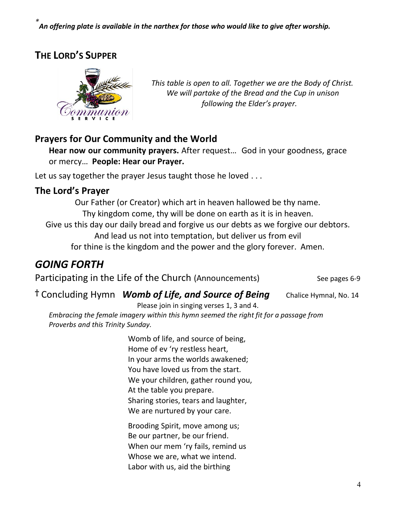*\* An offering plate is available in the narthex for those who would like to give after worship.*

## **THE LORD'S SUPPER**



*This table is open to all. Together we are the Body of Christ. We will partake of the Bread and the Cup in unison following the Elder's prayer.* 

### **Prayers for Our Community and the World**

**Hear now our community prayers.** After request… God in your goodness, grace or mercy… **People: Hear our Prayer.**

Let us say together the prayer Jesus taught those he loved . . .

#### **The Lord's Prayer**

Our Father (or Creator) which art in heaven hallowed be thy name. Thy kingdom come, thy will be done on earth as it is in heaven. Give us this day our daily bread and forgive us our debts as we forgive our debtors. And lead us not into temptation, but deliver us from evil for thine is the kingdom and the power and the glory forever. Amen.

## *GOING FORTH*

Participating in the Life of the Church (Announcements) See pages 6-9

#### **†** Concluding Hymn *Womb of Life, and Source of Being* Chalice Hymnal, No. 14

Please join in singing verses 1, 3 and 4.

*Embracing the female imagery within this hymn seemed the right fit for a passage from Proverbs and this Trinity Sunday.*

> Womb of life, and source of being, Home of ev 'ry restless heart, In your arms the worlds awakened; You have loved us from the start. We your children, gather round you, At the table you prepare. Sharing stories, tears and laughter, We are nurtured by your care.

Brooding Spirit, move among us; Be our partner, be our friend. When our mem 'ry fails, remind us Whose we are, what we intend. Labor with us, aid the birthing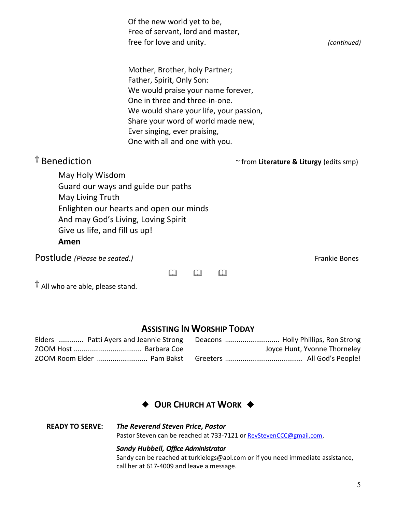Of the new world yet to be, Free of servant, lord and master, free for love and unity. *(continued)*

Mother, Brother, holy Partner; Father, Spirit, Only Son: We would praise your name forever, One in three and three-in-one. We would share your life, your passion, Share your word of world made new, Ever singing, ever praising, One with all and one with you.

**†** Benediction ~ from **Literature & Liturgy** (edits smp)

May Holy Wisdom Guard our ways and guide our paths May Living Truth Enlighten our hearts and open our minds And may God's Living, Loving Spirit Give us life, and fill us up! **Amen**

Postlude (Please be seated.) Frankie Bones

 $\mathbf{m}$   $\mathbf{m}$   $\mathbf{m}$ 

**†** All who are able, please stand.

#### **ASSISTING IN WORSHIP TODAY**

| Elders  Patti Ayers and Jeannie Strong Deacons  Holly Phillips, Ron Strong |                              |
|----------------------------------------------------------------------------|------------------------------|
|                                                                            | Joyce Hunt, Yvonne Thorneley |
|                                                                            |                              |

#### ◆ OUR CHURCH AT WORK ◆

#### **READY TO SERVE:** *The Reverend Steven Price, Pastor*

Pastor Steven can be reached at 733-7121 or [RevStevenCCC@gmail.com.](mailto:RevStevenCCC@gmail.com)

#### *Sandy Hubbell, Office Administrator*

Sandy can be reached at turkielegs@aol.com or if you need immediate assistance, call her at 617-4009 and leave a message.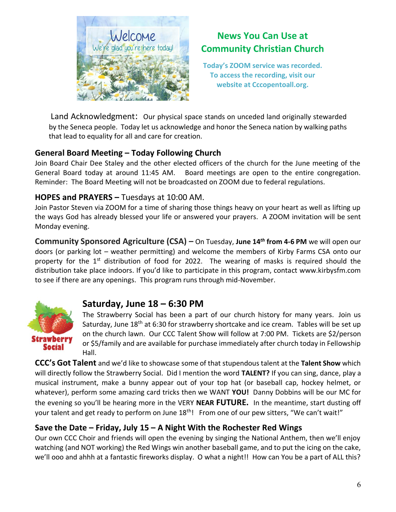

### **News You Can Use at Community Christian Church**

**Today's ZOOM service was recorded. To access the recording, visit our website at Cccopentoall.org.**

Land Acknowledgment:Our physical space stands on unceded land originally stewarded **I** by the Seneca people. Today let us acknowledge and honor the Seneca nation by walking paths **t**  that lead to equality for all and care for creation. **w**

#### **General Board Meeting – Today Following Church**

Join Board Chair Dee Staley and the other elected officers of the church for the June meeting of the General Board today at around 11:45 AM. Board meetings are open to the entire congregation. Reminder: The Board Meeting will not be broadcasted on ZOOM due to federal regulations. **e** 

#### **HOPES and PRAYERS –** Tuesdays at 10:00 AM.

Join Pastor Steven via ZOOM for a time of sharing those things heavy on your heart as well as lifting up **s** the ways God has already blessed your life or answered your prayers. A ZOOM invitation will be sent **t** Monday evening.

**Community Sponsored Agriculture (CSA)** – On Tuesday, June 14<sup>th</sup> from 4-6 PM we will open our doors (or parking lot – weather permitting) and welcome the members of Kirby Farms CSA onto our property for the 1<sup>st</sup> distribution of food for 2022. The wearing of masks is required should the distribution take place indoors. If you'd like to participate in this program, contact [www.kirbysfm.com](http://www.kirbysfm.com/) **l** to see if there are any openings. This program runs through mid-November. **e a**



#### **Saturday, June 18 – 6:30 PM**

The Strawberry Social has been a part of our church history for many years. Join us **i** Saturday, June 18<sup>th</sup> at 6:30 for strawberry shortcake and ice cream. Tables will be set up on the church lawn. Our CCC Talent Show will follow at 7:00 PM. Tickets are \$2/person **w** or \$5/family and are available for purchase immediately after church today in Fellowship **e** Hall. **e**

**CCC's Got Talent** and we'd like to showcase some of that stupendous talent at the **Talent Show** which **k** will directly follow the Strawberry Social. Did I mention the word **TALENT?** If you can sing, dance, play a **.**musical instrument, make a bunny appear out of your top hat (or baseball cap, hockey helmet, or whatever), perform some amazing card tricks then we WANT **YOU!** Danny Dobbins will be our MC for the evening so you'll be hearing more in the VERY **NEAR FUTURE.** In the meantime, start dusting off your talent and get ready to perform on June 18<sup>th</sup>! From one of our pew sitters, "We can't wait!"

#### **Save the Date – Friday, July 15 – A Night With the Rochester Red Wings**

Our own CCC Choir and friends will open the evening by singing the National Anthem, then we'll enjoy watching (and NOT working) the Red Wings win another baseball game, and to put the icing on the cake, we'll ooo and ahhh at a fantastic fireworks display. O what a night!! How can You be a part of ALL this?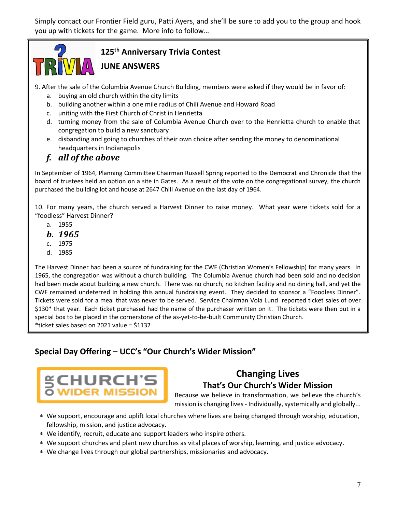Simply contact our Frontier Field guru, Patti Ayers, and she'll be sure to add you to the group and hook you up with tickets for the game. More info to follow…

## **125th Anniversary Trivia Contest**

**JUNE ANSWERS**

9. After the sale of the Columbia Avenue Church Building, members were asked if they would be in favor of:

- a. buying an old church within the city limits
- b. building another within a one mile radius of Chili Avenue and Howard Road
- c. uniting with the First Church of Christ in Henrietta
- d. turning money from the sale of Columbia Avenue Church over to the Henrietta church to enable that congregation to build a new sanctuary
- e. disbanding and going to churches of their own choice after sending the money to denominational headquarters in Indianapolis

### *f. all of the above*

In September of 1964, Planning Committee Chairman Russell Spring reported to the Democrat and Chronicle that the board of trustees held an option on a site in Gates. As a result of the vote on the congregational survey, the church purchased the building lot and house at 2647 Chili Avenue on the last day of 1964.

10. For many years, the church served a Harvest Dinner to raise money. What year were tickets sold for a "foodless" Harvest Dinner?

- a. 1955
- *b. 1965*
- c. 1975
- d. 1985

The Harvest Dinner had been a source of fundraising for the CWF (Christian Women's Fellowship) for many years. In 1965, the congregation was without a church building. The Columbia Avenue church had been sold and no decision had been made about building a new church. There was no church, no kitchen facility and no dining hall, and yet the CWF remained undeterred in holding this annual fundraising event. They decided to sponsor a "Foodless Dinner". Tickets were sold for a meal that was never to be served. Service Chairman Vola Lund reported ticket sales of over \$130\* that year. Each ticket purchased had the name of the purchaser written on it. The tickets were then put in a special box to be placed in the cornerstone of the as-yet-to-be-built Community Christian Church. \*ticket sales based on 2021 value = \$1132

#### **Special Day Offering – UCC's "Our Church's Wider Mission"**



#### **Changing Lives That's Our Church's Wider Mission**

Because we believe in transformation, we believe the church's mission is changing lives - Individually, systemically and globally...

- We support, encourage and uplift local churches where lives are being changed through worship, education, fellowship, mission, and justice advocacy.
- We identify, recruit, educate and support leaders who inspire others.
- We support churches and plant new churches as vital places of worship, learning, and justice advocacy.
- We change lives through our global partnerships, missionaries and advocacy.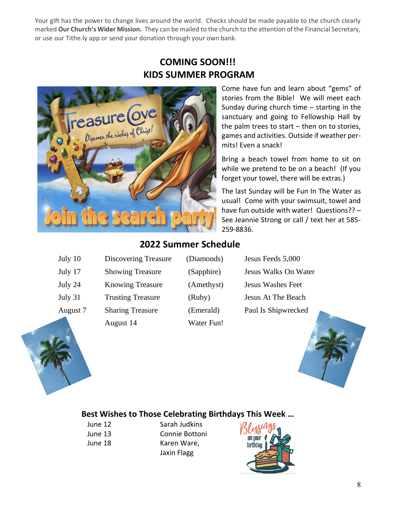Your gift has the power to change lives around the world. Checks should be made payable to the church clearly marked **Our Church's Wider Mission.** They can be mailed to the church to the attention of the Financial Secretary, or use our Tithe.ly app or send your donation through your own bank.



### **COMING SOON!!! KIDS SUMMER PROGRAM**

Come have fun and learn about "gems" of stories from the Bible! We will meet each Sunday during church time – starting in the sanctuary and going to Fellowship Hall by the palm trees to start – then on to stories, games and activities. Outside if weather permits! Even a snack!

Bring a beach towel from home to sit on while we pretend to be on a beach! (If you forget your towel, there will be extras.)

The last Sunday will be Fun In The Water as usual! Come with your swimsuit, towel and have fun outside with water! Questions?? – See Jeannie Strong or call / text her at 585- 259-8836.

### **2022 Summer Schedule**

| July 10  | <b>Discovering Treasure</b>                        |
|----------|----------------------------------------------------|
| July 17  | <b>Showing Treasure</b>                            |
| July 24  | <b>Knowing Treasure</b>                            |
| July 31  | <b>Trusting Treasure</b>                           |
| August 7 | <b>Sharing Treasure</b>                            |
|          | $\Lambda$ - $\sim$ $\sim$ $\sim$ $\sim$ $\sim$ 1.1 |

- August 14 Water Fun!
	- (Diamonds) Jesus Feeds 5,000 (Sapphire) Jesus Walks On Water (Amethyst) Jesus Washes Feet (Ruby) Jesus At The Beach (Emerald) Paul Is Shipwrecked



#### **Best Wishes to Those Celebrating Birthdays This Week …**

- 
- June 12 Sarah Judkins June 13 Connie Bottoni June 18 Karen Ware, Jaxin Flagg